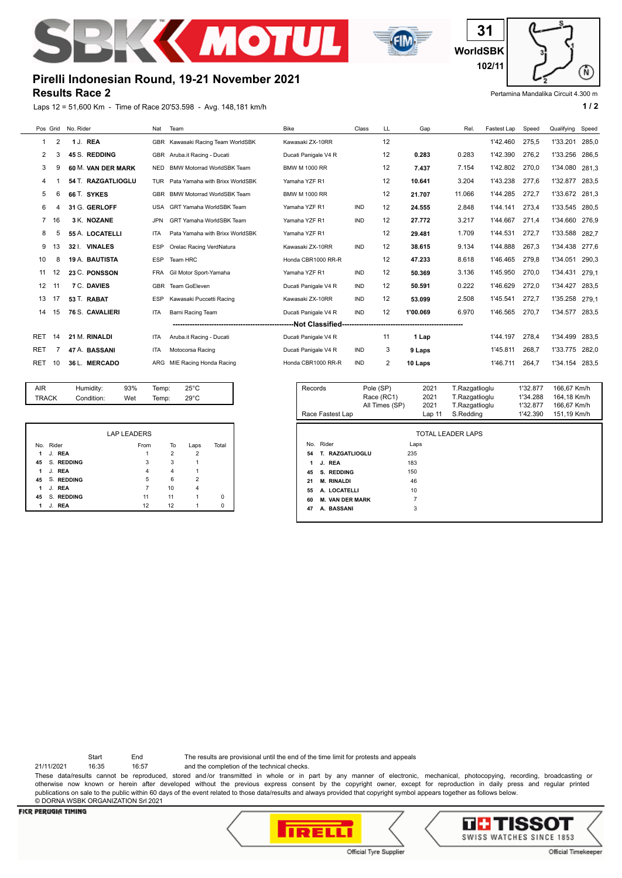



**WorldSBK 31 102/11**

## Pertamina Mandalika Circuit 4.300 m

Ñ

## **Results Race 2 Pirelli Indonesian Round, 19-21 November 2021**

Laps 12 = 51,600 Km - Time of Race 20'53.598 - Avg. 148,181 km/h **1 and 1 and 1 and 1 and 1 and 1 a** 1 a

|            |                        | Pos Grid No. Rider | Nat        | Team                                | <b>Bike</b>          | Class      | LL | Gap      | Rel.   | Fastest Lap | Speed | Qualifying | Speed |
|------------|------------------------|--------------------|------------|-------------------------------------|----------------------|------------|----|----------|--------|-------------|-------|------------|-------|
| -1         | 2                      | 1 J. REA           |            | GBR Kawasaki Racing Team WorldSBK   | Kawasaki ZX-10RR     |            | 12 |          |        | 1'42.460    | 275.5 | 1'33.201   | 285.0 |
| 2          | 3                      | 45 S. REDDING      | <b>GBR</b> | Aruba.it Racing - Ducati            | Ducati Panigale V4 R |            | 12 | 0.283    | 0.283  | 1'42.390    | 276.2 | 1'33.256   | 286,5 |
| 3          | 9                      | 60 M. VAN DER MARK | <b>NED</b> | <b>BMW Motorrad WorldSBK Team</b>   | <b>BMW M 1000 RR</b> |            | 12 | 7.437    | 7.154  | 1'42.802    | 270.0 | 1'34.080   | 281,3 |
| 4          |                        | 54 T. RAZGATLIOGLU |            | TUR Pata Yamaha with Brixx WorldSBK | Yamaha YZF R1        |            | 12 | 10.641   | 3.204  | 1'43.238    | 277.6 | 1'32.877   | 283.5 |
| 5          | 6                      | 66 T. SYKES        | <b>GBR</b> | <b>BMW Motorrad WorldSBK Team</b>   | <b>BMW M 1000 RR</b> |            | 12 | 21.707   | 11.066 | 1'44.285    | 272,7 | 1'33.672   | 281,3 |
| 6          |                        | 31 G. GERLOFF      | <b>USA</b> | GRT Yamaha WorldSBK Team            | Yamaha YZF R1        | <b>IND</b> | 12 | 24.555   | 2.848  | 1'44.141    | 273.4 | 1'33.545   | 280.5 |
|            | 16                     | 3 K. NOZANE        | <b>JPN</b> | GRT Yamaha WorldSBK Team            | Yamaha YZF R1        | <b>IND</b> | 12 | 27.772   | 3.217  | 1'44.667    | 271.4 | 1'34.660   | 276.9 |
| 8          | 5                      | 55 A. LOCATELLI    | <b>ITA</b> | Pata Yamaha with Brixx WorldSBK     | Yamaha YZF R1        |            | 12 | 29.481   | 1.709  | 1'44.531    | 272,7 | 1'33.588   | 282.7 |
| 9          | 3                      | 32 I. VINALES      | <b>ESP</b> | Orelac Racing VerdNatura            | Kawasaki ZX-10RR     | <b>IND</b> | 12 | 38.615   | 9.134  | 1'44.888    | 267.3 | 1'34.438   | 277.6 |
| 10         | 8                      | 19 A. BAUTISTA     | <b>ESP</b> | Team HRC                            | Honda CBR1000 RR-R   |            | 12 | 47.233   | 8.618  | 1'46.465    | 279.8 | 1'34.051   | 290,3 |
| 11         | 12                     | 23 C. PONSSON      | <b>FRA</b> | Gil Motor Sport-Yamaha              | Yamaha YZF R1        | <b>IND</b> | 12 | 50.369   | 3.136  | 1'45.950    | 270.0 | 1'34.431   | 279,1 |
| 12         |                        | 7 C. DAVIES        | <b>GBR</b> | Team GoEleven                       | Ducati Panigale V4 R | <b>IND</b> | 12 | 50.591   | 0.222  | 1'46.629    | 272,0 | 1'34.427   | 283.5 |
| 13         | 17                     | 53 T. RABAT        | <b>ESP</b> | Kawasaki Puccetti Racing            | Kawasaki ZX-10RR     | <b>IND</b> | 12 | 53.099   | 2.508  | 1'45.541    | 272.7 | 1'35.258   | 279.1 |
| 14         | 15                     | 76 S. CAVALIERI    | <b>ITA</b> | Barni Racing Team                   | Ducati Panigale V4 R | <b>IND</b> | 12 | 1'00.069 | 6.970  | 1'46.565    | 270,7 | 1'34.577   | 283.5 |
|            | ----Not Classified---- |                    |            |                                     |                      |            |    |          |        |             |       |            |       |
| RET        | 14                     | 21 M. RINALDI      | <b>ITA</b> | Aruba.it Racing - Ducati            | Ducati Panigale V4 R |            | 11 | 1 Lap    |        | 1'44.197    | 278,4 | 1'34.499   | 283,5 |
| <b>RET</b> |                        | 47 A. BASSANI      | <b>ITA</b> | Motocorsa Racing                    | Ducati Panigale V4 R | <b>IND</b> | 3  | 9 Laps   |        | 1'45.811    | 268.7 | 1'33.775   | 282.0 |
| <b>RET</b> | 10                     | 36 L. MERCADO      | ARG        | MIE Racing Honda Racing             | Honda CBR1000 RR-R   | <b>IND</b> | 2  | 10 Laps  |        | 1'46.711    | 264.7 | 1'34.154   | 283.5 |
|            |                        |                    |            |                                     |                      |            |    |          |        |             |       |            |       |

|              |               | <b>LAP LEADERS</b> |                |                |          |
|--------------|---------------|--------------------|----------------|----------------|----------|
|              | No. Rider     | From               | To             | Laps           | Total    |
| 1.           | J. REA        |                    | $\overline{2}$ | 2              |          |
|              | 45 S. REDDING | 3                  | 3              |                |          |
| $\mathbf{1}$ | J. REA        | 4                  | 4              |                |          |
|              | 45 S. REDDING | 5                  | 6              | $\overline{2}$ |          |
| $\mathbf{1}$ | J. REA        | 7                  | 10             | 4              |          |
| 45           | S. REDDING    | 11                 | 11             |                | $\Omega$ |
| 1            | J. REA        | 12                 | 12             |                | O        |

AIR Humidity: 93% Temp: 25°C TRACK Condition: Wet Temp: 29°C

| Records                      | Pole (SP)<br>Race (RC1)<br>All Times (SP) | 2021<br>2021<br>2021 |                          | 1'32.877<br>1'34.288<br>1'32.877<br>1'42.390 | 166.67 Km/h<br>164,18 Km/h<br>166.67 Km/h |  |  |
|------------------------------|-------------------------------------------|----------------------|--------------------------|----------------------------------------------|-------------------------------------------|--|--|
| Race Fastest Lap             |                                           | Lap <sub>11</sub>    | S.Redding                |                                              | 151,19 Km/h                               |  |  |
| No. Rider                    | Laps                                      |                      | <b>TOTAL LEADER LAPS</b> |                                              |                                           |  |  |
| T. RAZGATLIOGLU<br>54        | 235                                       |                      |                          |                                              |                                           |  |  |
| 1<br>J. REA                  | 183                                       |                      |                          |                                              |                                           |  |  |
| S. REDDING<br>45             | 150                                       |                      |                          |                                              |                                           |  |  |
| <b>M. RINALDI</b><br>21      | 46                                        |                      |                          |                                              |                                           |  |  |
| A. LOCATELLI<br>55           | 10                                        |                      |                          |                                              |                                           |  |  |
| <b>M. VAN DER MARK</b><br>60 | 7                                         |                      |                          |                                              |                                           |  |  |
| A. BASSANI<br>47             | 3                                         |                      |                          |                                              |                                           |  |  |
|                              |                                           |                      |                          |                                              |                                           |  |  |

Start End The results are provisional until the end of the time limit for protests and appeals

21/11/2021 16:35 16:57 and the completion of the technical checks.

These data/results cannot be reproduced, stored and/or transmitted in whole or in part by any manner of electronic, mechanical, photocopying, recording, broadcasting or otherwise now known or herein after developed without the previous express consent by the copyright owner, except for reproduction in daily press and regular printed publications on sale to the public within 60 days of the event related to those data/results and always provided that copyright symbol appears together as follows below. © DORNA WSBK ORGANIZATION Srl 2021

## **FICR PERUGIA TIMING**